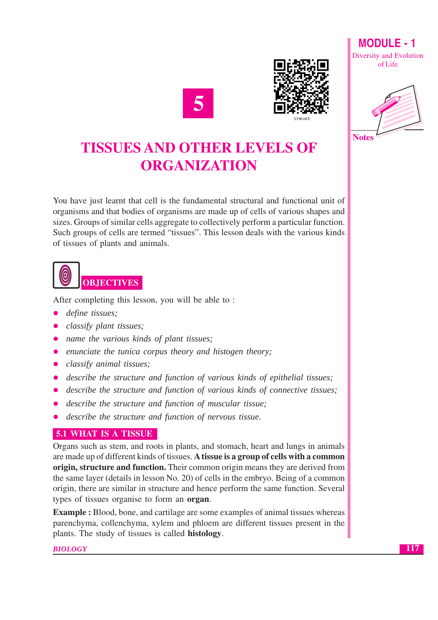



**MODULE-1 Diversity and Evolution** of Life



# **TISSUES AND OTHER LEVELS OF ORGANIZATION**

You have just learnt that cell is the fundamental structural and functional unit of organisms and that bodies of organisms are made up of cells of various shapes and sizes. Groups of similar cells aggregate to collectively perform a particular function. Such groups of cells are termed "tissues". This lesson deals with the various kinds of tissues of plants and animals.



After completing this lesson, you will be able to:

- define tissues;
- classify plant tissues;
- name the various kinds of plant tissues;
- enunciate the tunica corpus theory and histogen theory;
- classify animal tissues;
- describe the structure and function of various kinds of epithelial tissues;
- describe the structure and function of various kinds of connective tissues;
- describe the structure and function of muscular tissue;
- describe the structure and function of nervous tissue.  $\bullet$

#### **5.1 WHAT IS A TISSUE**

Organs such as stem, and roots in plants, and stomach, heart and lungs in animals are made up of different kinds of tissues. A tissue is a group of cells with a common origin, structure and function. Their common origin means they are derived from the same layer (details in lesson No. 20) of cells in the embryo. Being of a common origin, there are similar in structure and hence perform the same function. Several types of tissues organise to form an **organ**.

**Example**: Blood, bone, and cartilage are some examples of animal tissues whereas parenchyma, collenchyma, xylem and phloem are different tissues present in the plants. The study of tissues is called **histology**.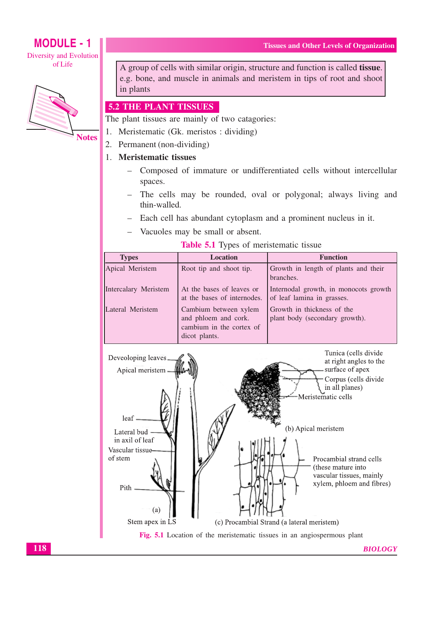# **MODULE - 1**

**Diversity and Evolution** of Life



A group of cells with similar origin, structure and function is called **tissue**. e.g. bone, and muscle in animals and meristem in tips of root and shoot in plants

#### 5.2 THE PLANT TISSUES

The plant tissues are mainly of two catagories:

- Meristematic (Gk. meristos: dividing) 1.
- 2. Permanent (non-dividing)

#### 1. Meristematic tissues

- Composed of immature or undifferentiated cells without intercellular  $\equiv$ spaces.
- The cells may be rounded, oval or polygonal; always living and thin-walled.
- Each cell has abundant cytoplasm and a prominent nucleus in it.
- Vacuoles may be small or absent.

| <b>Types</b>         | <b>Location</b>                                                                            | <b>Function</b>                                                     |  |  |  |  |  |
|----------------------|--------------------------------------------------------------------------------------------|---------------------------------------------------------------------|--|--|--|--|--|
| Apical Meristem      | Root tip and shoot tip.                                                                    | Growth in length of plants and their<br>branches.                   |  |  |  |  |  |
| Intercalary Meristem | At the bases of leaves or<br>at the bases of internodes.                                   | Internodal growth, in monocots growth<br>of leaf lamina in grasses. |  |  |  |  |  |
| Lateral Meristem     | Cambium between xylem<br>and phloem and cork.<br>cambium in the cortex of<br>dicot plants. | Growth in thickness of the<br>plant body (secondary growth).        |  |  |  |  |  |

#### **Table 5.1 Types of meristematic tissue**



118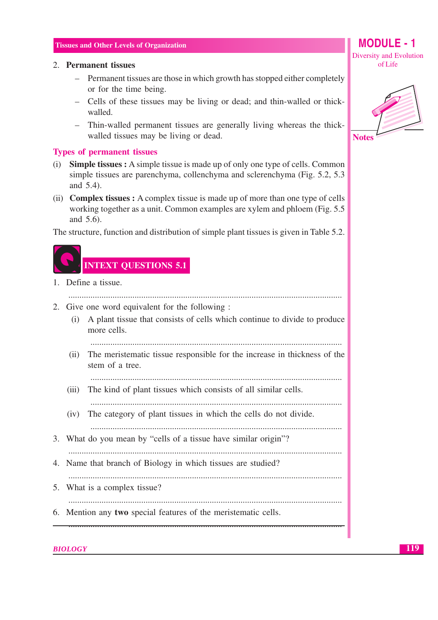#### 2. Permanent tissues

- Permanent tissues are those in which growth has stopped either completely or for the time being.
- Cells of these tissues may be living or dead; and thin-walled or thickwalled.
- Thin-walled permanent tissues are generally living whereas the thickwalled tissues may be living or dead.

#### **Types of permanent tissues**

- **Simple tissues :** A simple tissue is made up of only one type of cells. Common  $(i)$ simple tissues are parenchyma, collenchyma and sclerenchyma (Fig. 5.2, 5.3) and 5.4).
- (ii) **Complex tissues :** A complex tissue is made up of more than one type of cells working together as a unit. Common examples are xylem and phloem (Fig. 5.5) and 5.6).

The structure, function and distribution of simple plant tissues is given in Table 5.2.



1. Define a tissue.

- 2. Give one word equivalent for the following:
	- (i) A plant tissue that consists of cells which continue to divide to produce more cells.
		-
	- (ii) The meristematic tissue responsible for the increase in thickness of the stem of a tree.

(iii) The kind of plant tissues which consists of all similar cells.

(iv) The category of plant tissues in which the cells do not divide.

- 3. What do you mean by "cells of a tissue have similar origin"?
- 4. Name that branch of Biology in which tissues are studied?

- 5. What is a complex tissue?
- 
- 6. Mention any two special features of the meristematic cells.

**BIOLOGY** 



MODULE - 1

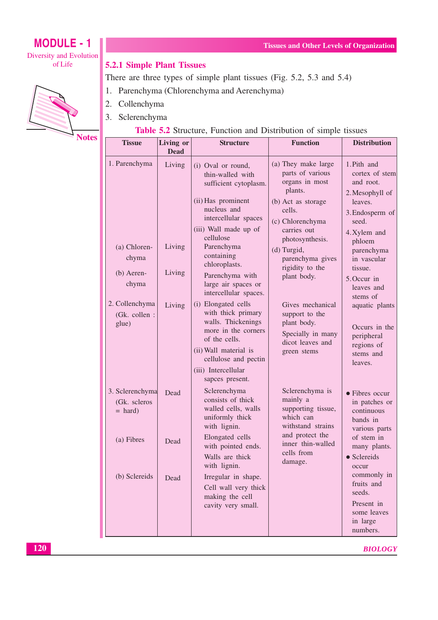## **MODULE - 1** Diversity and Evolution

of Life



#### **5.2.1 Simple Plant Tissues**

There are three types of simple plant tissues (Fig. 5.2, 5.3 and 5.4)

- 1. Parenchyma (Chlorenchyma and Aerenchyma)
- 2. Collenchyma
- 3. Sclerenchyma



#### Table 5.2 Structure, Function and Distribution of simple tissues

| <b>Tissue</b>                                        | Living or<br><b>Dead</b>   | <b>Structure</b>                                                                                                                                                                                                                   | <b>Function</b>                                                                                                                                                                                                                 | <b>Distribution</b>                                                                                                                                                    |
|------------------------------------------------------|----------------------------|------------------------------------------------------------------------------------------------------------------------------------------------------------------------------------------------------------------------------------|---------------------------------------------------------------------------------------------------------------------------------------------------------------------------------------------------------------------------------|------------------------------------------------------------------------------------------------------------------------------------------------------------------------|
| 1. Parenchyma<br>(a) Chloren-<br>chyma<br>(b) Aeren- | Living<br>Living<br>Living | (i) Oval or round,<br>thin-walled with<br>sufficient cytoplasm.<br>(ii) Has prominent<br>nucleus and<br>intercellular spaces<br>(iii) Wall made up of<br>cellulose<br>Parenchyma<br>containing<br>chloroplasts.<br>Parenchyma with | (a) They make large<br>parts of various<br>organs in most<br>plants.<br>(b) Act as storage<br>cells.<br>(c) Chlorenchyma<br>carries out<br>photosynthesis.<br>(d) Turgid,<br>parenchyma gives<br>rigidity to the<br>plant body. | 1. Pith and<br>cortex of stem<br>and root.<br>2. Mesophyll of<br>leaves.<br>3. Endosperm of<br>seed.<br>4. Xylem and<br>phloem<br>parenchyma<br>in vascular<br>tissue. |
| chyma                                                |                            | large air spaces or<br>intercellular spaces.                                                                                                                                                                                       |                                                                                                                                                                                                                                 | 5. Occur in<br>leaves and<br>stems of                                                                                                                                  |
| 2. Collenchyma<br>(Gk. collen :<br>glue)             | Living                     | (i) Elongated cells<br>with thick primary<br>walls. Thickenings<br>more in the corners<br>of the cells.<br>(ii) Wall material is<br>cellulose and pectin<br>(iii) Intercellular<br>sapces present.                                 | Gives mechanical<br>support to the<br>plant body.<br>Specially in many<br>dicot leaves and<br>green stems                                                                                                                       | aquatic plants<br>Occurs in the<br>peripheral<br>regions of<br>stems and<br>leaves.                                                                                    |
| 3. Sclerenchyma<br>(Gk. scleros<br>$=$ hard)         | Dead                       | Sclerenchyma<br>consists of thick<br>walled cells, walls<br>uniformly thick<br>with lignin.                                                                                                                                        | Sclerenchyma is<br>mainly a<br>supporting tissue,<br>which can<br>withstand strains<br>and protect the                                                                                                                          | • Fibres occur<br>in patches or<br>continuous<br>bands in<br>various parts                                                                                             |
| (a) Fibres<br>(b) Sclereids                          | Dead<br>Dead               | Elongated cells<br>with pointed ends.<br>Walls are thick<br>with lignin.<br>Irregular in shape.                                                                                                                                    | inner thin-walled<br>cells from<br>damage.                                                                                                                                                                                      | of stem in<br>many plants.<br>• Sclereids<br>occur<br>commonly in<br>fruits and                                                                                        |
|                                                      |                            | Cell wall very thick<br>making the cell<br>cavity very small.                                                                                                                                                                      |                                                                                                                                                                                                                                 | seeds.<br>Present in<br>some leaves<br>in large<br>numbers.                                                                                                            |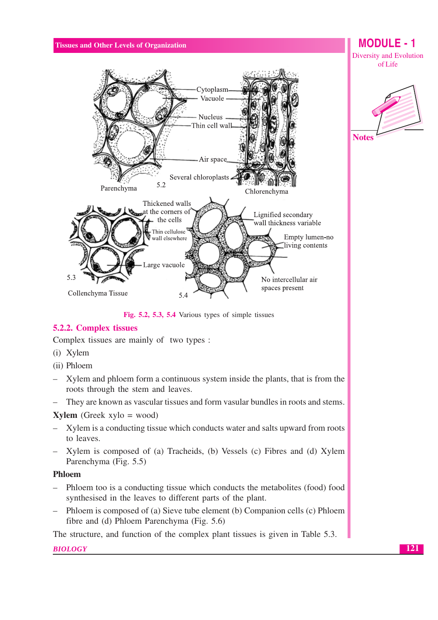

Fig. 5.2, 5.3, 5.4 Various types of simple tissues

## **5.2.2. Complex tissues**

Complex tissues are mainly of two types :

- (i) Xylem
- (ii) Phloem
- Xylem and phloem form a continuous system inside the plants, that is from the roots through the stem and leaves.
- They are known as vascular tissues and form vasular bundles in roots and stems.  $\equiv$

#### **Xylem** (Greek  $xylo = wood$ )

- Xylem is a conducting tissue which conducts water and salts upward from roots  $\equiv$ to leaves.
- Xylem is composed of (a) Tracheids, (b) Vessels (c) Fibres and (d) Xylem Parenchyma (Fig. 5.5)

#### **Phloem**

- Phloem too is a conducting tissue which conducts the metabolites (food) food  $\equiv$   $\equiv$ synthesised in the leaves to different parts of the plant.
- $\equiv$ Phloem is composed of (a) Sieve tube element (b) Companion cells (c) Phloem fibre and (d) Phloem Parenchyma (Fig. 5.6)

The structure, and function of the complex plant tissues is given in Table 5.3.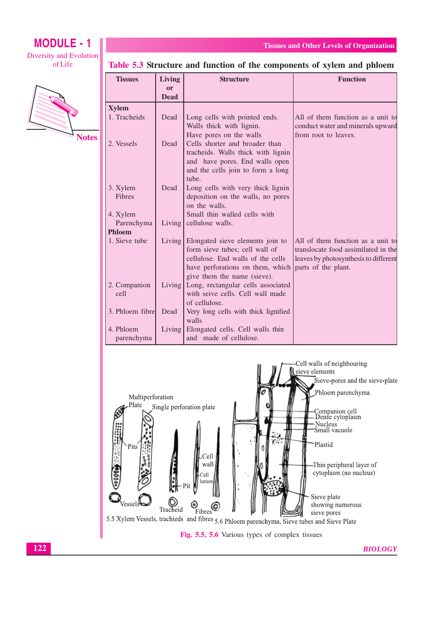## **MODULE - 1** Diversity and Evolution

#### of Life



Table 5.3 Structure and function of the components of xylem and phloem

**Tissues and Other Levels of Organization** 

| <b>Tissues</b>  | <b>Living</b>            | <b>Structure</b>                                                     | <b>Function</b>                                              |
|-----------------|--------------------------|----------------------------------------------------------------------|--------------------------------------------------------------|
|                 | <b>or</b><br><b>Dead</b> |                                                                      |                                                              |
| <b>Xylem</b>    |                          |                                                                      |                                                              |
| 1. Tracheids    | Dead                     | Long cells with pointed ends.                                        | All of them function as a unit to                            |
|                 |                          | Walls thick with lignin.                                             | conduct water and minerals upward                            |
|                 |                          | Have pores on the walls                                              | from root to leaves.                                         |
| 2. Vessels      | Dead                     | Cells shorter and broader than                                       |                                                              |
|                 |                          | tracheids. Walls thick with lignin<br>and have pores. End walls open |                                                              |
|                 |                          | and the cells join to form a long                                    |                                                              |
|                 |                          | tube.                                                                |                                                              |
| 3. Xylem        | Dead                     | Long cells with very thick lignin                                    |                                                              |
| <b>Fibres</b>   |                          | deposition on the walls, no pores                                    |                                                              |
|                 |                          | on the walls.                                                        |                                                              |
| 4. Xylem        |                          | Small thin walled cells with                                         |                                                              |
| Parenchyma      | Living                   | cellulose walls.                                                     |                                                              |
| <b>Phloem</b>   |                          |                                                                      |                                                              |
| 1. Sieve tube   | Living                   | Elongated sieve elements join to                                     | All of them function as a unit to                            |
|                 |                          | form sieve tubes; cell wall of                                       | translocate food assimilated in the                          |
|                 |                          | cellulose. End walls of the cells                                    | leaves by photosynthesis to different<br>parts of the plant. |
|                 |                          | have perforations on them, which<br>give them the name (sieve).      |                                                              |
| 2. Companion    | Living                   | Long, rectangular cells associated                                   |                                                              |
| cell            |                          | with seive cells. Cell wall made                                     |                                                              |
|                 |                          | of cellulose.                                                        |                                                              |
| 3. Phloem fibre | Dead                     | Very long cells with thick lignified                                 |                                                              |
|                 |                          | walls                                                                |                                                              |
| 4. Phloem       | Living                   | Elongated cells. Cell walls thin                                     |                                                              |
| parenchyma      |                          | and made of cellulose.                                               |                                                              |

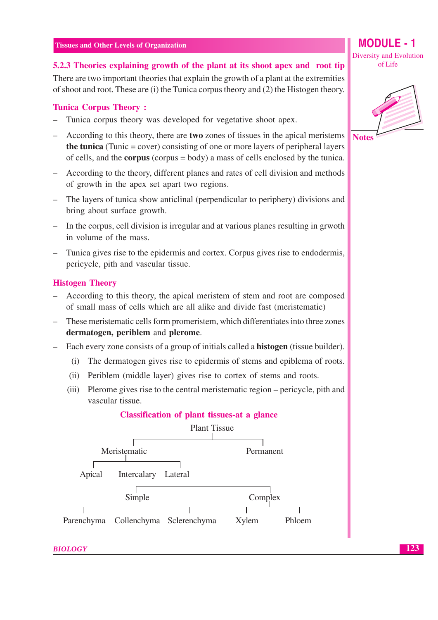5.2.3 Theories explaining growth of the plant at its shoot apex and root tip

There are two important theories that explain the growth of a plant at the extremities of shoot and root. These are (i) the Tunica corpus theory and (2) the Histogen theory.

#### **Tunica Corpus Theory:**

- Tunica corpus theory was developed for vegetative shoot apex.
- According to this theory, there are **two** zones of tissues in the apical meristems **the tunica** (Tunic = cover) consisting of one or more layers of peripheral layers of cells, and the **corpus** (corpus  $=$  body) a mass of cells enclosed by the tunica.
- According to the theory, different planes and rates of cell division and methods of growth in the apex set apart two regions.
- The layers of tunica show anticlinal (perpendicular to periphery) divisions and bring about surface growth.
- In the corpus, cell division is irregular and at various planes resulting in grwoth in volume of the mass.
- Tunica gives rise to the epidermis and cortex. Corpus gives rise to endodermis, pericycle, pith and vascular tissue.

#### **Histogen Theory**

- According to this theory, the apical meristem of stem and root are composed of small mass of cells which are all alike and divide fast (meristematic)
- These meristematic cells form promeristem, which differentiates into three zones dermatogen, periblem and plerome.
- Each every zone consists of a group of initials called a **histogen** (tissue builder).
	- (i) The dermatogen gives rise to epidermis of stems and epiblema of roots.
	- (ii) Periblem (middle layer) gives rise to cortex of stems and roots.
	- (iii) Plerome gives rise to the central meristematic region pericycle, pith and vascular tissue.

#### **Classification of plant tissues-at a glance**



**Diversity and Evolution** of Life

MODUI F - 1

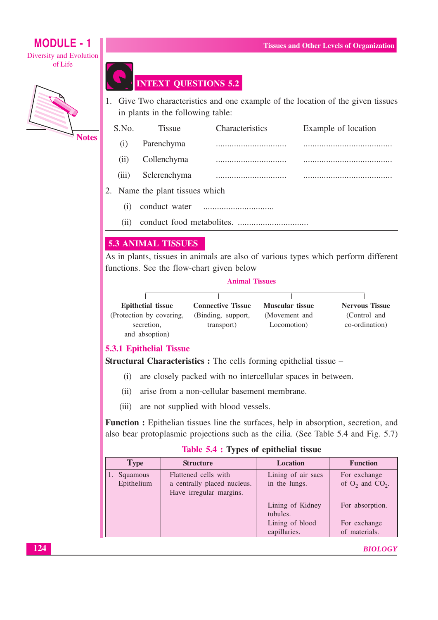## **MODULE - 1 Diversity and Evolution**

of Life



# **INTEXT QUESTIONS 5.2**

1. Give Two characteristics and one example of the location of the given tissues in plants in the following table:

| S.No. | <b>Tissue</b>                   | <b>Characteristics</b> | Example of location |
|-------|---------------------------------|------------------------|---------------------|
| (1)   | Parenchyma                      |                        |                     |
| (11)  | Collenchyma                     |                        |                     |
| (iii) | Sclerenchyma                    |                        |                     |
|       | 2. Name the plant tissues which |                        |                     |
| (1)   | conduct water                   |                        |                     |

 $(ii)$ 

#### **5.3 ANIMAL TISSUES**

As in plants, tissues in animals are also of various types which perform different functions. See the flow-chart given below

| <b>Animal Tissues</b> |  |
|-----------------------|--|
|                       |  |

| <b>Epithetial tissue</b> | <b>Connective Tissue</b> | <b>Muscular tissue</b> | <b>Nervous Tissue</b> |
|--------------------------|--------------------------|------------------------|-----------------------|
| (Protection by covering, | (Binding, support,       | (Movement and          | (Control and          |
| secretion,               | transport)               | Locomotion)            | co-ordination)        |
| and absoption)           |                          |                        |                       |

#### **5.3.1 Epithelial Tissue**

**Structural Characteristics :** The cells forming epithelial tissue –

- (i) are closely packed with no intercellular spaces in between.
- (ii) arise from a non-cellular basement membrane.
- (iii) are not supplied with blood vessels.

Function: Epithelian tissues line the surfaces, help in absorption, secretion, and also bear protoplasmic projections such as the cilia. (See Table 5.4 and Fig. 5.7)

#### Table 5.4 : Types of epithelial tissue

| Flattened cells with<br>Squamous<br>Epithelium<br>a centrally placed nucleus.<br>Have irregular margins. | Lining of air sacs<br>in the lungs.<br>Lining of Kidney<br>tubules.<br>Lining of blood<br>capillaries. | For exchange<br>of $O_2$ and $CO_2$ .<br>For absorption.<br>For exchange<br>of materials. |
|----------------------------------------------------------------------------------------------------------|--------------------------------------------------------------------------------------------------------|-------------------------------------------------------------------------------------------|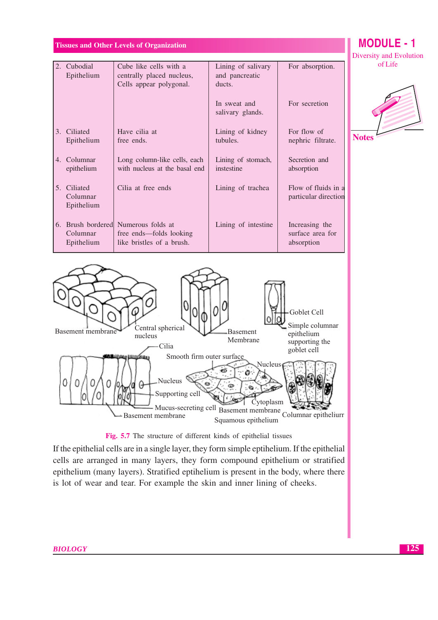# **MODULE - 1**

of Life



Squamous epithelium



If the epithelial cells are in a single layer, they form simple eptihelium. If the epithelial cells are arranged in many layers, they form compound epithelium or stratified epithelium (many layers). Stratified eptihelium is present in the body, where there is lot of wear and tear. For example the skin and inner lining of cheeks.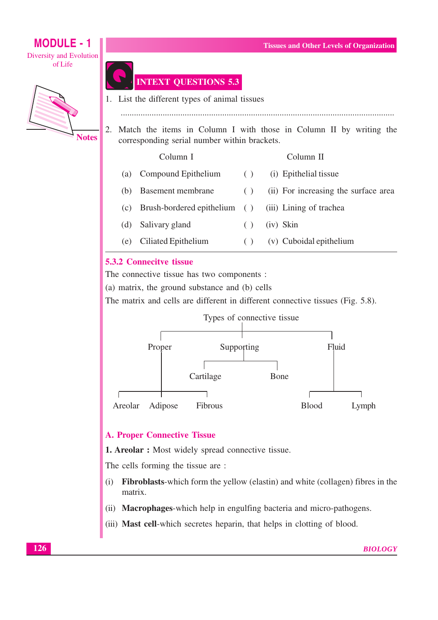**MODULE - 1 Tissues and Other Levels of Organization Diversity and Evolution** of Life **INTEXT QUESTIONS 5.3** 1. List the different types of animal tissues Match the items in Column I with those in Column II by writing the 2. **Notes** corresponding serial number within brackets. Column I Column II  $(a)$ Compound Epithelium  $( )$ (i) Epithelial tissue **Basement membrane**  $( )$ (ii) For increasing the surface area  $(b)$ (c) Brush-bordered epithelium  $( )$ (iii) Lining of trachea Salivary gland (iv) Skin  $(d)$  $( )$ 

> Ciliated Epithelium (v) Cuboidal epithelium  $( )$  $(e)$

#### **5.3.2 Connecitve tissue**

The connective tissue has two components :

(a) matrix, the ground substance and (b) cells

The matrix and cells are different in different connective tissues (Fig. 5.8).



#### **A. Proper Connective Tissue**

**1. Areolar :** Most widely spread connective tissue.

The cells forming the tissue are :

- Fibroblasts-which form the yellow (elastin) and white (collagen) fibres in the  $(i)$ matrix.
- (ii) **Macrophages**-which help in engulfing bacteria and micro-pathogens.
- (iii) Mast cell-which secretes heparin, that helps in clotting of blood.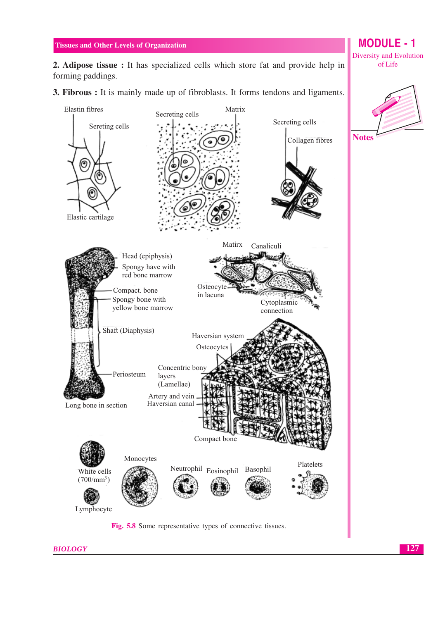2. Adipose tissue : It has specialized cells which store fat and provide help in forming paddings.

3. Fibrous : It is mainly made up of fibroblasts. It forms tendons and ligaments.



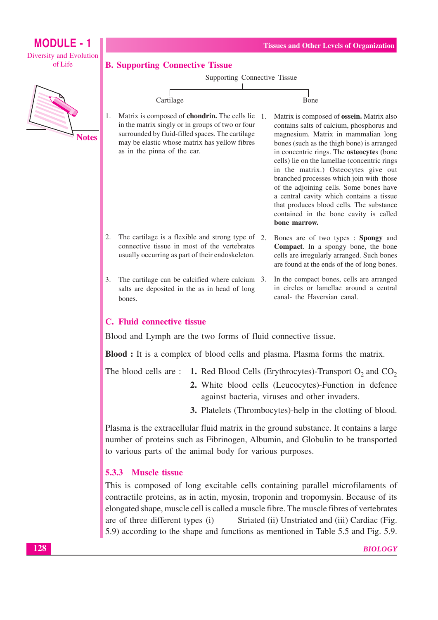

contractile proteins, as in actin, myosin, troponin and tropomysin. Because of its elongated shape, muscle cell is called a muscle fibre. The muscle fibres of vertebrates are of three different types (i) Striated (ii) Unstriated and (iii) Cardiac (Fig. 5.9) according to the shape and functions as mentioned in Table 5.5 and Fig. 5.9.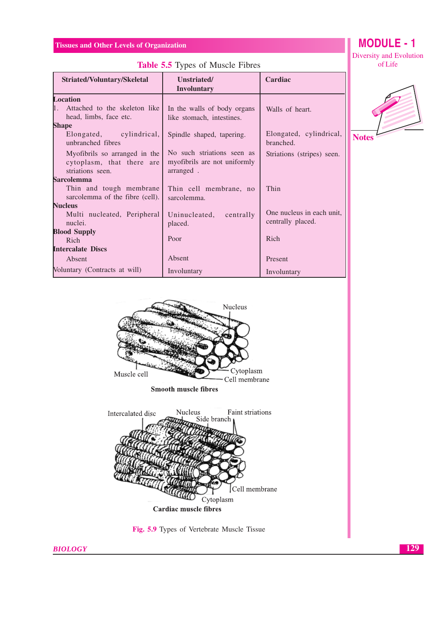| Striated/Voluntary/Skeletal                                                      | Unstriated/<br><b>Involuntary</b>                                         | Cardiac                                        |              |
|----------------------------------------------------------------------------------|---------------------------------------------------------------------------|------------------------------------------------|--------------|
| <b>Location</b>                                                                  |                                                                           |                                                |              |
| $1_{\cdot}$<br>Attached to the skeleton like<br>head, limbs, face etc.           | In the walls of body organs<br>like stomach, intestines.                  | Walls of heart.                                |              |
| Shape                                                                            |                                                                           |                                                |              |
| cylindrical,<br>Elongated,<br>unbranched fibres                                  | Spindle shaped, tapering.                                                 | Elongated, cylindrical,<br>branched.           | <b>Notes</b> |
| My of ibrils so arranged in the<br>cytoplasm, that there are<br>striations seen. | No such striations seen as<br>my of ibrils are not uniformly<br>arranged. | Striations (stripes) seen.                     |              |
| Sarcolemma                                                                       |                                                                           |                                                |              |
| Thin and tough membrane<br>sarcolemma of the fibre (cell).                       | Thin cell membrane, no<br>sarcolemma.                                     | Thin                                           |              |
| <b>Nucleus</b>                                                                   |                                                                           |                                                |              |
| Multi nucleated, Peripheral<br>nuclei.                                           | Uninucleated,<br>centrally<br>placed.                                     | One nucleus in each unit,<br>centrally placed. |              |
| <b>Blood Supply</b>                                                              |                                                                           |                                                |              |
| Rich                                                                             | Poor                                                                      | Rich                                           |              |
| <b>Intercalate Discs</b>                                                         |                                                                           |                                                |              |
| Absent                                                                           | Absent                                                                    | Present                                        |              |
| Voluntary (Contracts at will)                                                    | Involuntary                                                               | Involuntary                                    |              |









Fig. 5.9 Types of Vertebrate Muscle Tissue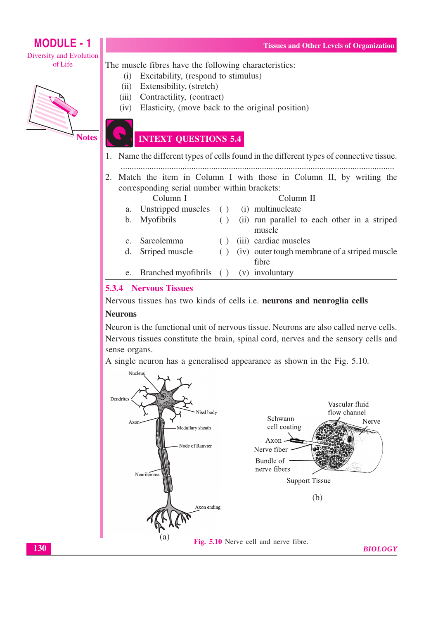# **MODULE - 1**

**Diversity and Evolution** of Life

Excitability, (respond to stimulus)  $(i)$ Extensibility, (stretch)  $(ii)$ Contractility, (contract)  $(iii)$  $(iv)$ Elasticity, (move back to the original position)



**Notes** 

## **INTEXT QUESTIONS 5.4**

The muscle fibres have the following characteristics:

- 1. Name the different types of cells found in the different types of connective tissue.
- 2. Match the item in Column I with those in Column II, by writing the corresponding serial number within brackets:

|                | Column I                                                                                                                                                                                                                                                                                                                                                                                                                                                                                   |     | Column II                                       |
|----------------|--------------------------------------------------------------------------------------------------------------------------------------------------------------------------------------------------------------------------------------------------------------------------------------------------------------------------------------------------------------------------------------------------------------------------------------------------------------------------------------------|-----|-------------------------------------------------|
| a.             | Unstripped muscles () (i) multinucleate                                                                                                                                                                                                                                                                                                                                                                                                                                                    |     |                                                 |
| $\mathbf{b}$ . | Myofibrils                                                                                                                                                                                                                                                                                                                                                                                                                                                                                 |     | () (ii) run parallel to each other in a striped |
|                |                                                                                                                                                                                                                                                                                                                                                                                                                                                                                            |     | muscle                                          |
|                | c. Sarcolemma                                                                                                                                                                                                                                                                                                                                                                                                                                                                              | ( ) | (iii) cardiac muscles                           |
| d.             | Striped muscle                                                                                                                                                                                                                                                                                                                                                                                                                                                                             | ( ) | (iv) outer tough membrane of a striped muscle   |
|                |                                                                                                                                                                                                                                                                                                                                                                                                                                                                                            |     | fibre                                           |
|                | e. Branched myofibrils () (v) involuntary                                                                                                                                                                                                                                                                                                                                                                                                                                                  |     |                                                 |
|                | $\blacksquare$ $\blacksquare$ $\blacksquare$ $\blacksquare$ $\blacksquare$ $\blacksquare$ $\blacksquare$ $\blacksquare$ $\blacksquare$ $\blacksquare$ $\blacksquare$ $\blacksquare$ $\blacksquare$ $\blacksquare$ $\blacksquare$ $\blacksquare$ $\blacksquare$ $\blacksquare$ $\blacksquare$ $\blacksquare$ $\blacksquare$ $\blacksquare$ $\blacksquare$ $\blacksquare$ $\blacksquare$ $\blacksquare$ $\blacksquare$ $\blacksquare$ $\blacksquare$ $\blacksquare$ $\blacksquare$ $\blacks$ |     |                                                 |

#### **5.3.4 Nervous Tissues**

Nervous tissues has two kinds of cells i.e. neurons and neuroglia cells

#### **Neurons**

Neuron is the functional unit of nervous tissue. Neurons are also called nerve cells. Nervous tissues constitute the brain, spinal cord, nerves and the sensory cells and sense organs.

A single neuron has a generalised appearance as shown in the Fig. 5.10.

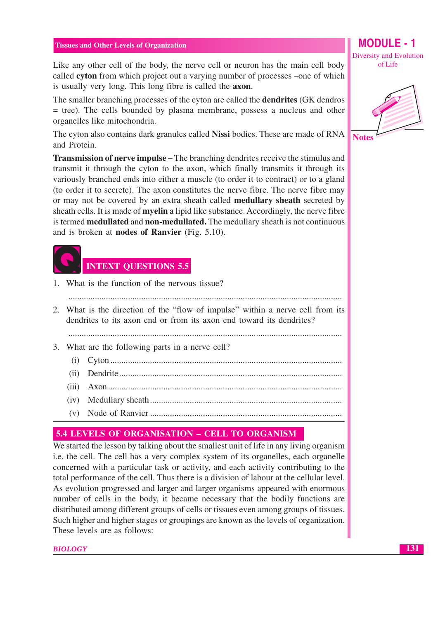Like any other cell of the body, the nerve cell or neuron has the main cell body called cyton from which project out a varying number of processes –one of which is usually very long. This long fibre is called the **axon**.

The smaller branching processes of the cyton are called the **dendrities** (GK dendros  $=$  tree). The cells bounded by plasma membrane, possess a nucleus and other organelles like mitochondria.

The cyton also contains dark granules called Nissi bodies. These are made of RNA and Protein.

**Transmission of nerve impulse – The branching dendrites receive the stimulus and** transmit it through the cyton to the axon, which finally transmits it through its variously branched ends into either a muscle (to order it to contract) or to a gland (to order it to secrete). The axon constitutes the nerve fibre. The nerve fibre may or may not be covered by an extra sheath called **medullary sheath** secreted by sheath cells. It is made of **myelin** a lipid like substance. Accordingly, the nerve fibre is termed **medullated** and **non-medullated**. The medullary sheath is not continuous and is broken at **nodes of Ranvier** (Fig. 5.10).



1. What is the function of the nervous tissue?

2. What is the direction of the "flow of impulse" within a nerve cell from its dendrities to its axon end or from its axon end toward its dendrities?

- 3. What are the following parts in a nerve cell?
	-
	-
	-
	-
	-

#### 5.4 LEVELS OF ORGANISATION - CELL TO ORGANISM

We started the lesson by talking about the smallest unit of life in any living organism i.e. the cell. The cell has a very complex system of its organelles, each organelle concerned with a particular task or activity, and each activity contributing to the total performance of the cell. Thus there is a division of labour at the cellular level. As evolution progressed and larger and larger organisms appeared with enormous number of cells in the body, it became necessary that the bodily functions are distributed among different groups of cells or tissues even among groups of tissues. Such higher and higher stages or groupings are known as the levels of organization. These levels are as follows:

**BIOLOGY** 

Diversity and Evolution of Life

MODULE - 1

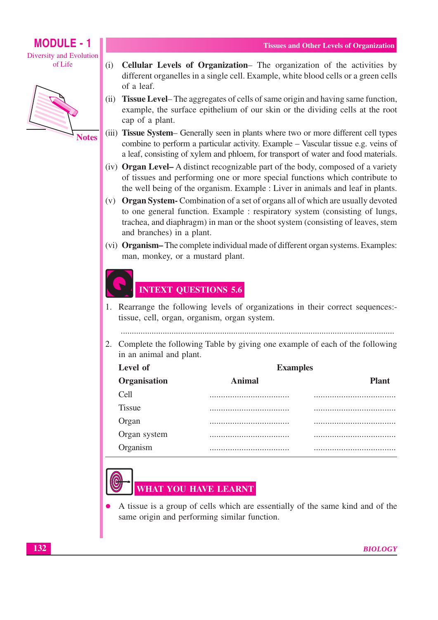# **MODULE - 1**

**Diversity and Evolution** of Life



**Notes** 

- (i) Cellular Levels of Organization– The organization of the activities by different organelles in a single cell. Example, white blood cells or a green cells of a leaf.
- (ii) **Tissue Level–** The aggregates of cells of same origin and having same function, example, the surface epithelium of our skin or the dividing cells at the root cap of a plant.
- (iii) **Tissue System** Generally seen in plants where two or more different cell types combine to perform a particular activity. Example – Vascular tissue e.g. veins of a leaf, consisting of xylem and phloem, for transport of water and food materials.
- (iv) **Organ Level–** A distinct recognizable part of the body, composed of a variety of tissues and performing one or more special functions which contribute to the well being of the organism. Example : Liver in animals and leaf in plants.
- (v) Organ System Combination of a set of organs all of which are usually devoted to one general function. Example : respiratory system (consisting of lungs, trachea, and diaphragm) in man or the shoot system (consisting of leaves, stem and branches) in a plant.
- (vi) Organism-The complete individual made of different organ systems. Examples: man, monkey, or a mustard plant.

## **INTEXT QUESTIONS 5.6**

1. Rearrange the following levels of organizations in their correct sequences:tissue, cell, organ, organism, organ system.

2. Complete the following Table by giving one example of each of the following in an animal and plant.

| Level of      | <b>Examples</b> |              |  |  |  |
|---------------|-----------------|--------------|--|--|--|
| Organisation  | Animal          | <b>Plant</b> |  |  |  |
| Cell          |                 |              |  |  |  |
| <b>Tissue</b> |                 |              |  |  |  |
| Organ         |                 |              |  |  |  |
| Organ system  |                 |              |  |  |  |
| Organism      |                 |              |  |  |  |



A tissue is a group of cells which are essentially of the same kind and of the same origin and performing similar function.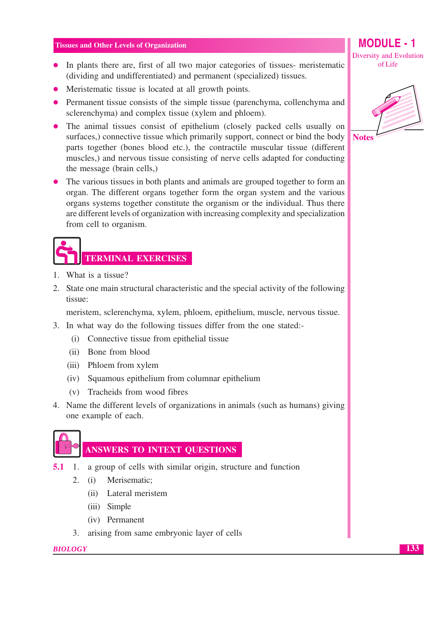- In plants there are, first of all two major categories of tissues- meristematic (dividing and undifferentiated) and permanent (specialized) tissues.
- Meristematic tissue is located at all growth points.
- Permanent tissue consists of the simple tissue (parenchyma, collenchyma and sclerenchyma) and complex tissue (xylem and phloem).
- The animal tissues consist of epithelium (closely packed cells usually on surfaces,) connective tissue which primarily support, connect or bind the body parts together (bones blood etc.), the contractile muscular tissue (different muscles,) and nervous tissue consisting of nerve cells adapted for conducting the message (brain cells,)
- The various tissues in both plants and animals are grouped together to form an organ. The different organs together form the organ system and the various organs systems together constitute the organism or the individual. Thus there are different levels of organization with increasing complexity and specialization from cell to organism.

# **TERMINAL EXERCISES**

- 1. What is a tissue?
- 2. State one main structural characteristic and the special activity of the following tissue:

meristem, sclerenchyma, xylem, phloem, epithelium, muscle, nervous tissue.

- 3. In what way do the following tissues differ from the one stated:-
	- (i) Connective tissue from epithelial tissue
	- (ii) Bone from blood
	- (iii) Phloem from xylem
	- (iv) Squamous epithelium from columnar epithelium
	- (v) Tracheids from wood fibres
- 4. Name the different levels of organizations in animals (such as humans) giving one example of each.



# ANSWERS TO INTEXT QUESTIONS

- **5.1** 1. a group of cells with similar origin, structure and function
	- Merisematic:  $2.$  $(i)$ 
		- (ii) Lateral meristem
		- (iii) Simple
		- (iv) Permanent
	- 3. arising from same embryonic layer of cells

#### **BIOLOGY**

**Diversity and Evolution** of Life

 $MODIII$  F  $-1$ 

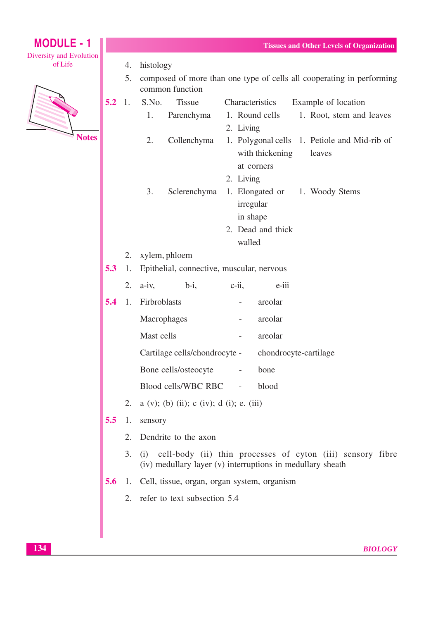| <b>MODULE - 1</b>                  |                                                                               |    |                   |                                             |  |                                                                                                    | <b>Tissues and Other Levels of Organization</b>                                                           |
|------------------------------------|-------------------------------------------------------------------------------|----|-------------------|---------------------------------------------|--|----------------------------------------------------------------------------------------------------|-----------------------------------------------------------------------------------------------------------|
| Diversity and Evolution<br>of Life |                                                                               | 4. | histology         |                                             |  |                                                                                                    |                                                                                                           |
|                                    |                                                                               | 5. |                   | common function                             |  |                                                                                                    | composed of more than one type of cells all cooperating in performing                                     |
| <b>Notes</b>                       | 5.2                                                                           | 1. | S.No.<br>1.<br>2. | <b>Tissue</b><br>Parenchyma<br>Collenchyma  |  | Characteristics<br>1. Round cells<br>2. Living<br>with thickening                                  | Example of location<br>1. Root, stem and leaves<br>1. Polygonal cells 1. Petiole and Mid-rib of<br>leaves |
|                                    |                                                                               |    | 3.                | Sclerenchyma                                |  | at corners<br>2. Living<br>1. Elongated or<br>irregular<br>in shape<br>2. Dead and thick<br>walled | 1. Woody Stems                                                                                            |
|                                    | xylem, phloem<br>2.<br>Epithelial, connective, muscular, nervous<br>5.3<br>1. |    |                   |                                             |  |                                                                                                    |                                                                                                           |
|                                    |                                                                               | 2. | $a-iv$ ,          | $b-i$ ,                                     |  | $c$ -ii,<br>e-iii                                                                                  |                                                                                                           |
|                                    | 5.4                                                                           | 1. | Firbroblasts      |                                             |  | areolar                                                                                            |                                                                                                           |
|                                    |                                                                               |    | Macrophages       |                                             |  | areolar<br>$\overline{\phantom{a}}$                                                                |                                                                                                           |
|                                    |                                                                               |    | Mast cells        |                                             |  | areolar                                                                                            |                                                                                                           |
|                                    |                                                                               |    |                   |                                             |  | $\overline{\phantom{a}}$                                                                           |                                                                                                           |
|                                    |                                                                               |    |                   | Cartilage cells/chondrocyte -               |  | chondrocyte-cartilage                                                                              |                                                                                                           |
|                                    |                                                                               |    |                   | Bone cells/osteocyte                        |  | bone                                                                                               |                                                                                                           |
|                                    |                                                                               |    |                   | Blood cells/WBC RBC                         |  | blood                                                                                              |                                                                                                           |
|                                    |                                                                               | 2. |                   | $a (v)$ ; (b) (ii); c (iv); d (i); e. (iii) |  |                                                                                                    |                                                                                                           |
|                                    | 5.5                                                                           | 1. | sensory           |                                             |  |                                                                                                    |                                                                                                           |
|                                    |                                                                               | 2. |                   | Dendrite to the axon                        |  |                                                                                                    |                                                                                                           |
|                                    |                                                                               | 3. | (i)               |                                             |  | (iv) medullary layer (v) interruptions in medullary sheath                                         | cell-body (ii) thin processes of cyton (iii) sensory fibre                                                |
|                                    | 5.6                                                                           |    |                   |                                             |  | 1. Cell, tissue, organ, organ system, organism                                                     |                                                                                                           |
|                                    |                                                                               |    |                   | 2. refer to text subsection 5.4             |  |                                                                                                    |                                                                                                           |
|                                    |                                                                               |    |                   |                                             |  |                                                                                                    |                                                                                                           |